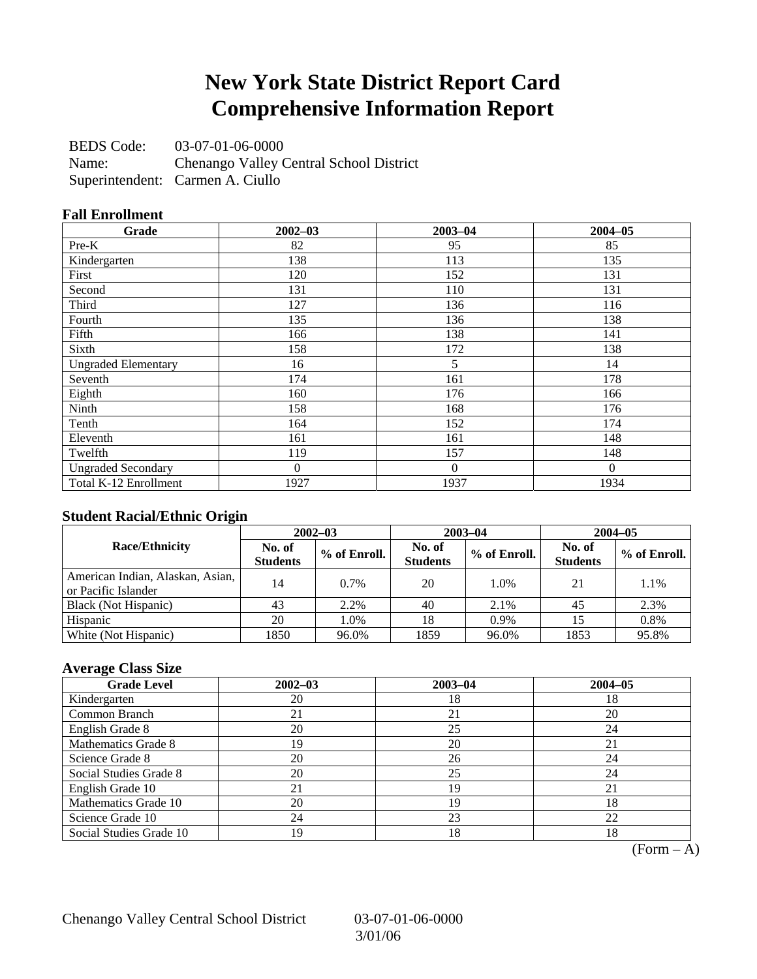## **New York State District Report Card Comprehensive Information Report**

BEDS Code: 03-07-01-06-0000 Name: Chenango Valley Central School District Superintendent: Carmen A. Ciullo

#### **Fall Enrollment**

| Grade                      | $2002 - 03$    | $2003 - 04$    | $2004 - 05$ |
|----------------------------|----------------|----------------|-------------|
| $Pre-K$                    | 82             | 95             | 85          |
| Kindergarten               | 138            | 113            | 135         |
| First                      | 120            | 152            | 131         |
| Second                     | 131            | 110            | 131         |
| Third                      | 127            | 136            | 116         |
| Fourth                     | 135            | 136            | 138         |
| Fifth                      | 166            | 138            | 141         |
| Sixth                      | 158            | 172            | 138         |
| <b>Ungraded Elementary</b> | 16             | 5              | 14          |
| Seventh                    | 174            | 161            | 178         |
| Eighth                     | 160            | 176            | 166         |
| Ninth                      | 158            | 168            | 176         |
| Tenth                      | 164            | 152            | 174         |
| Eleventh                   | 161            | 161            | 148         |
| Twelfth                    | 119            | 157            | 148         |
| <b>Ungraded Secondary</b>  | $\overline{0}$ | $\overline{0}$ | $\Omega$    |
| Total K-12 Enrollment      | 1927           | 1937           | 1934        |

#### **Student Racial/Ethnic Origin**

|                                                         | $2002 - 03$               |              |                           | $2003 - 04$  | $2004 - 05$               |              |  |
|---------------------------------------------------------|---------------------------|--------------|---------------------------|--------------|---------------------------|--------------|--|
| <b>Race/Ethnicity</b>                                   | No. of<br><b>Students</b> | % of Enroll. | No. of<br><b>Students</b> | % of Enroll. | No. of<br><b>Students</b> | % of Enroll. |  |
| American Indian, Alaskan, Asian,<br>or Pacific Islander | 14                        | 0.7%         | 20                        | 1.0%         | 21                        | 1.1%         |  |
| Black (Not Hispanic)                                    | 43                        | 2.2%         | 40                        | 2.1%         | 45                        | 2.3%         |  |
| Hispanic                                                | 20                        | 1.0%         | 18                        | 0.9%         |                           | 0.8%         |  |
| White (Not Hispanic)                                    | 1850                      | 96.0%        | 1859                      | 96.0%        | 1853                      | 95.8%        |  |

#### **Average Class Size**

| <b>Grade Level</b>      | $2002 - 03$ | $2003 - 04$ | $2004 - 05$ |
|-------------------------|-------------|-------------|-------------|
| Kindergarten            | 20          | 18          | 18          |
| Common Branch           | 21          | 21          | 20          |
| English Grade 8         | 20          | 25          | 24          |
| Mathematics Grade 8     | 19          | 20          | 21          |
| Science Grade 8         | 20          | 26          | 24          |
| Social Studies Grade 8  | 20          | 25          | 24          |
| English Grade 10        | 21          | 19          | 21          |
| Mathematics Grade 10    | 20          | 19          | 18          |
| Science Grade 10        | 24          | 23          | 22          |
| Social Studies Grade 10 | 19          | 18          | 18          |

 $(Form - A)$ 

Chenango Valley Central School District 03-07-01-06-0000

3/01/06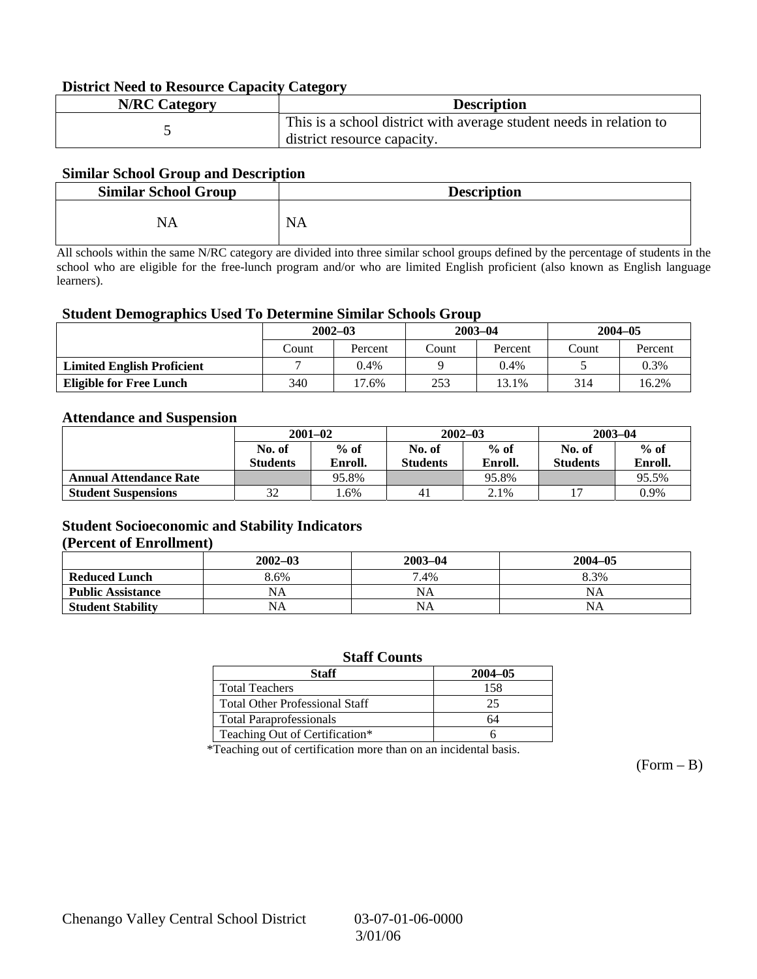#### **District Need to Resource Capacity Category**

| <b>N/RC Category</b> | <b>Description</b>                                                                                 |
|----------------------|----------------------------------------------------------------------------------------------------|
|                      | This is a school district with average student needs in relation to<br>district resource capacity. |

#### **Similar School Group and Description**

| <b>Similar School Group</b> | <b>Description</b> |
|-----------------------------|--------------------|
| NA                          | <b>NA</b>          |

All schools within the same N/RC category are divided into three similar school groups defined by the percentage of students in the school who are eligible for the free-lunch program and/or who are limited English proficient (also known as English language learners).

#### **Student Demographics Used To Determine Similar Schools Group**

|                                   | $2002 - 03$ |         |       | $2003 - 04$ | $2004 - 05$ |         |
|-----------------------------------|-------------|---------|-------|-------------|-------------|---------|
|                                   | Count       | Percent | Count | Percent     | Count       | Percent |
| <b>Limited English Proficient</b> |             | 0.4%    |       | 0.4%        |             | $0.3\%$ |
| <b>Eligible for Free Lunch</b>    | 340         | 17.6%   | 253   | 13.1%       | 314         | 16.2%   |

#### **Attendance and Suspension**

|                               | $2001 - 02$     |         |                 | $2002 - 03$ | $2003 - 04$     |         |  |
|-------------------------------|-----------------|---------|-----------------|-------------|-----------------|---------|--|
|                               | No. of          | $%$ of  | No. of          |             | No. of          | $%$ of  |  |
|                               | <b>Students</b> | Enroll. | <b>Students</b> | Enroll.     | <b>Students</b> | Enroll. |  |
| <b>Annual Attendance Rate</b> |                 | 95.8%   |                 | 95.8%       |                 | 95.5%   |  |
| <b>Student Suspensions</b>    | 32              | .6%     | 41              | 2.1%        |                 | 0.9%    |  |

#### **Student Socioeconomic and Stability Indicators (Percent of Enrollment)**

|                          | $2002 - 03$ | 2003-04   | $2004 - 05$ |
|--------------------------|-------------|-----------|-------------|
| <b>Reduced Lunch</b>     | 8.6%        | 7.4%      | 8.3%        |
| <b>Public Assistance</b> | NA          | NA        | NA          |
| <b>Student Stability</b> | NA          | <b>NA</b> | NA          |

#### **Staff Counts**

| Staff                                 | $2004 - 05$ |
|---------------------------------------|-------------|
| <b>Total Teachers</b>                 | 158         |
| <b>Total Other Professional Staff</b> | 25          |
| <b>Total Paraprofessionals</b>        | 64          |
| Teaching Out of Certification*        |             |

\*Teaching out of certification more than on an incidental basis.

 $(Form - B)$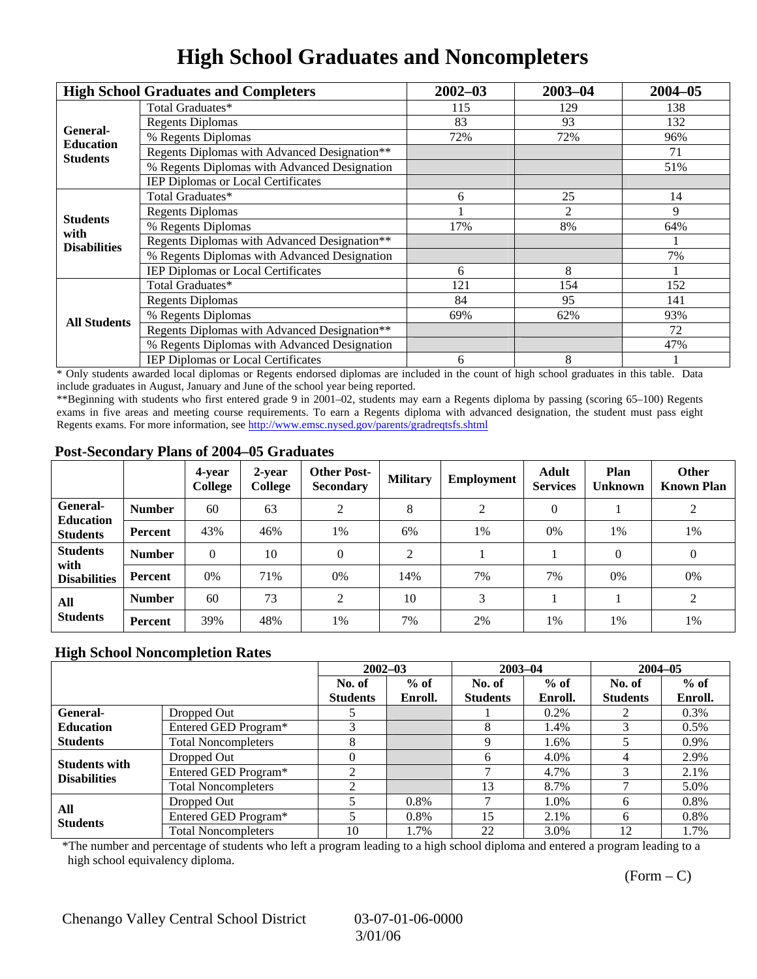### **High School Graduates and Noncompleters**

|                         | <b>High School Graduates and Completers</b>  | $2002 - 03$                                                                                           | $2003 - 04$ | $2004 - 05$ |
|-------------------------|----------------------------------------------|-------------------------------------------------------------------------------------------------------|-------------|-------------|
|                         | Total Graduates*                             | 115                                                                                                   | 129         | 138         |
| General-                | <b>Regents Diplomas</b>                      | 83<br>93<br>72%<br>72%<br>25<br>6<br>2<br>17%<br>8%<br>8<br>6<br>121<br>154<br>84<br>95<br>69%<br>62% | 132         |             |
| <b>Education</b>        | % Regents Diplomas                           |                                                                                                       |             | 96%         |
| <b>Students</b>         | Regents Diplomas with Advanced Designation** |                                                                                                       |             | 71          |
|                         | % Regents Diplomas with Advanced Designation |                                                                                                       |             | 51%         |
|                         | IEP Diplomas or Local Certificates           |                                                                                                       |             |             |
|                         | Total Graduates*                             |                                                                                                       |             | 14          |
|                         | <b>Regents Diplomas</b>                      |                                                                                                       |             | 9           |
| <b>Students</b><br>with | % Regents Diplomas                           |                                                                                                       |             | 64%         |
| <b>Disabilities</b>     | Regents Diplomas with Advanced Designation** | 8<br>6                                                                                                |             |             |
|                         | % Regents Diplomas with Advanced Designation |                                                                                                       | 7%          |             |
|                         | IEP Diplomas or Local Certificates           |                                                                                                       |             |             |
|                         | Total Graduates*                             |                                                                                                       |             | 152         |
|                         | <b>Regents Diplomas</b>                      | 141<br>93%<br>72<br>47%                                                                               |             |             |
| <b>All Students</b>     | % Regents Diplomas                           |                                                                                                       |             |             |
|                         | Regents Diplomas with Advanced Designation** |                                                                                                       |             |             |
|                         | % Regents Diplomas with Advanced Designation |                                                                                                       |             |             |
|                         | <b>IEP Diplomas or Local Certificates</b>    |                                                                                                       |             |             |

\* Only students awarded local diplomas or Regents endorsed diplomas are included in the count of high school graduates in this table. Data include graduates in August, January and June of the school year being reported.

\*\*Beginning with students who first entered grade 9 in 2001–02, students may earn a Regents diploma by passing (scoring 65–100) Regents exams in five areas and meeting course requirements. To earn a Regents diploma with advanced designation, the student must pass eight Regents exams. For more information, see http://www.emsc.nysed.gov/parents/gradreqtsfs.shtml

#### **Post-Secondary Plans of 2004–05 Graduates**

|                                                        |                | 4-year<br>College | 2-year<br>College | <b>Other Post-</b><br><b>Secondary</b> | <b>Military</b> | <b>Employment</b> | <b>Adult</b><br><b>Services</b> | Plan<br><b>Unknown</b> | <b>Other</b><br><b>Known Plan</b> |
|--------------------------------------------------------|----------------|-------------------|-------------------|----------------------------------------|-----------------|-------------------|---------------------------------|------------------------|-----------------------------------|
| <b>General-</b><br><b>Education</b><br><b>Students</b> | <b>Number</b>  | 60                | 63                | 2                                      | 8               | 2                 | $\Omega$                        |                        | 2                                 |
|                                                        | <b>Percent</b> | 43%               | 46%               | 1%                                     | 6%              | 1%                | $0\%$                           | 1%                     | 1%                                |
| <b>Students</b><br>with<br><b>Disabilities</b>         | <b>Number</b>  | $\theta$          | 10                | $\theta$                               | ◠               |                   |                                 | $\Omega$               | $\theta$                          |
|                                                        | <b>Percent</b> | 0%                | 71%               | 0%                                     | 14%             | 7%                | 7%                              | 0%                     | 0%                                |
| All                                                    | <b>Number</b>  | 60                | 73                | $\overline{2}$                         | 10              | 3                 |                                 |                        | 2                                 |
| <b>Students</b>                                        | Percent        | 39%               | 48%               | 1%                                     | 7%              | 2%                | 1%                              | 1%                     | 1%                                |

#### **High School Noncompletion Rates**

|                                             |                            | $2002 - 03$     |         | $2003 - 04$     |         | $2004 - 05$     |         |
|---------------------------------------------|----------------------------|-----------------|---------|-----------------|---------|-----------------|---------|
|                                             |                            | No. of          | $%$ of  | No. of          | $%$ of  | No. of          | $%$ of  |
|                                             |                            | <b>Students</b> | Enroll. | <b>Students</b> | Enroll. | <b>Students</b> | Enroll. |
| General-                                    | Dropped Out                |                 |         |                 | $0.2\%$ |                 | 0.3%    |
| <b>Education</b>                            | Entered GED Program*       |                 |         | 8               | 1.4%    |                 | $0.5\%$ |
| <b>Students</b>                             | <b>Total Noncompleters</b> | 8               |         | Q               | 1.6%    |                 | 0.9%    |
|                                             | Dropped Out                |                 |         | 6               | 4.0%    |                 | 2.9%    |
| <b>Students with</b><br><b>Disabilities</b> | Entered GED Program*       |                 |         |                 | 4.7%    |                 | 2.1%    |
|                                             | <b>Total Noncompleters</b> |                 |         | 13              | 8.7%    |                 | 5.0%    |
| All<br><b>Students</b>                      | Dropped Out                |                 | $0.8\%$ |                 | 1.0%    | h.              | $0.8\%$ |
|                                             | Entered GED Program*       |                 | $0.8\%$ | 15              | 2.1%    | 6               | $0.8\%$ |
|                                             | <b>Total Noncompleters</b> | 10              | 1.7%    | 22              | 3.0%    | 12              | 1.7%    |

\*The number and percentage of students who left a program leading to a high school diploma and entered a program leading to a high school equivalency diploma.

 $(Form - C)$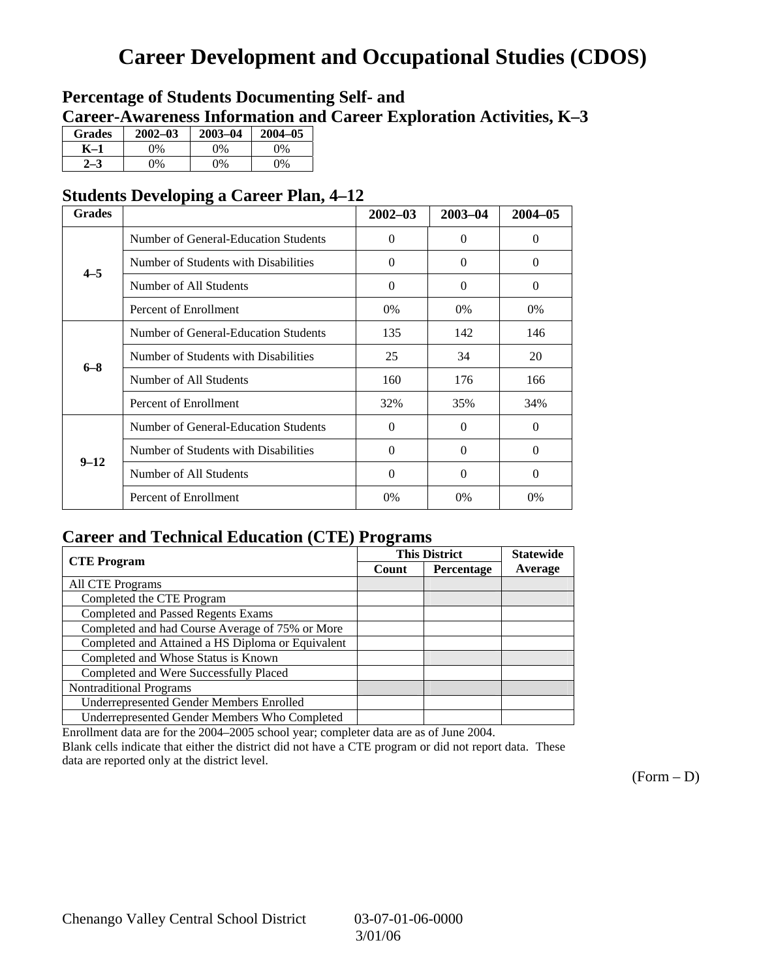# **Career Development and Occupational Studies (CDOS)**

### **Percentage of Students Documenting Self- and Career-Awareness Information and Career Exploration Activities, K–3**

| <b>Grades</b> | $2002 - 03$ | $2003 - 04$ | $2004 - 05$ |
|---------------|-------------|-------------|-------------|
| K–1           | 0%          | 0%          | $0\%$       |
| $2 - 3$       | 9%          | 0%          | 0%          |

### **Students Developing a Career Plan, 4–12**

| <b>Grades</b> |                                      | $2002 - 03$ | $2003 - 04$ | $2004 - 05$ |
|---------------|--------------------------------------|-------------|-------------|-------------|
|               | Number of General-Education Students | $\theta$    | $\theta$    | $\Omega$    |
| $4 - 5$       | Number of Students with Disabilities | $\theta$    | $\Omega$    | $\Omega$    |
|               | Number of All Students               | $\theta$    | $\Omega$    | $\Omega$    |
|               | Percent of Enrollment                | 0%          | $0\%$       | $0\%$       |
|               | Number of General-Education Students | 135         | 142         | 146         |
| $6 - 8$       | Number of Students with Disabilities | 25          | 34          | 20          |
|               | Number of All Students               | 160         | 176         | 166         |
|               | Percent of Enrollment                | 32%         | 35%         | 34%         |
|               | Number of General-Education Students | $\Omega$    | $\Omega$    | $\Omega$    |
| $9 - 12$      | Number of Students with Disabilities | $\theta$    | $\Omega$    | $\theta$    |
|               | Number of All Students               | $\theta$    | $\Omega$    | $\Omega$    |
|               | Percent of Enrollment                | $0\%$       | $0\%$       | 0%          |

### **Career and Technical Education (CTE) Programs**

|                                                   |       | <b>This District</b> | <b>Statewide</b> |
|---------------------------------------------------|-------|----------------------|------------------|
| <b>CTE</b> Program                                | Count | Percentage           | Average          |
| <b>All CTE Programs</b>                           |       |                      |                  |
| Completed the CTE Program                         |       |                      |                  |
| <b>Completed and Passed Regents Exams</b>         |       |                      |                  |
| Completed and had Course Average of 75% or More   |       |                      |                  |
| Completed and Attained a HS Diploma or Equivalent |       |                      |                  |
| Completed and Whose Status is Known               |       |                      |                  |
| Completed and Were Successfully Placed            |       |                      |                  |
| <b>Nontraditional Programs</b>                    |       |                      |                  |
| <b>Underrepresented Gender Members Enrolled</b>   |       |                      |                  |
| Underrepresented Gender Members Who Completed     |       |                      |                  |

Enrollment data are for the 2004–2005 school year; completer data are as of June 2004.

Blank cells indicate that either the district did not have a CTE program or did not report data. These data are reported only at the district level.

 $(Form - D)$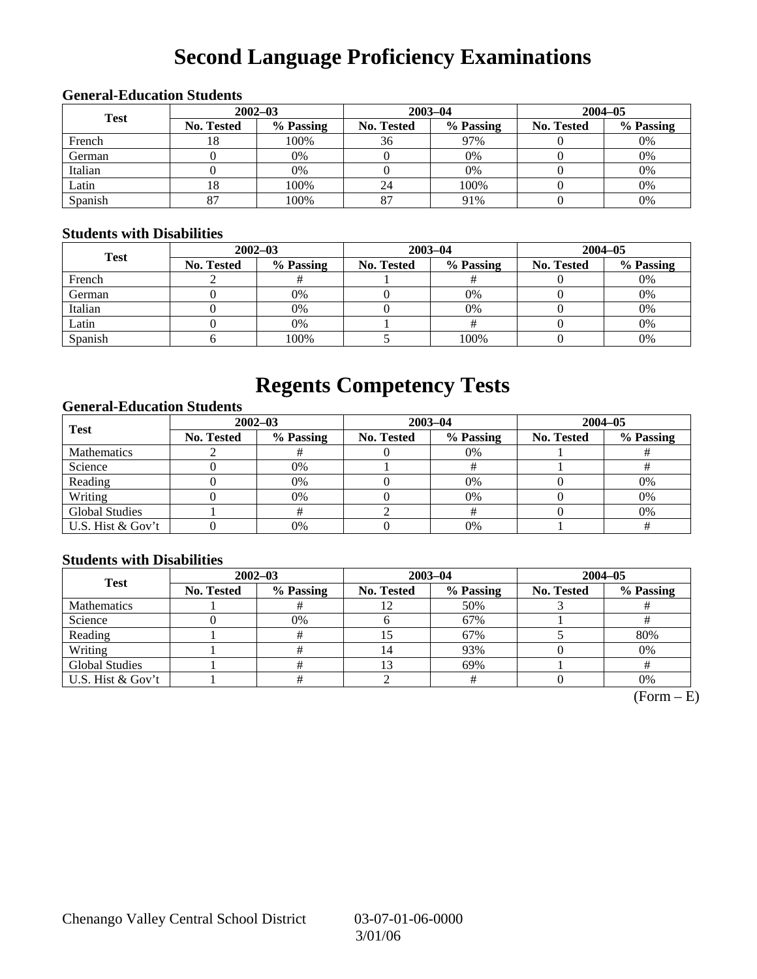# **Second Language Proficiency Examinations**

### **General-Education Students 2002–03 2003–04 2004–05 Test No. Tested % Passing No. Tested % Passing No. Tested % Passing**  French 18 100% 36 97% 0 0 0% German 0 0% 0 0% 0 0% Italian ( 0 0% 0 0% 0 0% 0 0% 0 0% Latin  $18$  100% 24 100% 0 0 0% Spanish | 87 | 100% | 87 | 91% | 0 | 0%

#### **Students with Disabilities**

| <b>Test</b> | $2002 - 03$       |           |            | $2003 - 04$ | $2004 - 05$       |           |  |
|-------------|-------------------|-----------|------------|-------------|-------------------|-----------|--|
|             | <b>No. Tested</b> | % Passing | No. Tested | % Passing   | <b>No. Tested</b> | % Passing |  |
| French      |                   |           |            |             |                   | 0%        |  |
| German      |                   | 0%        |            | 0%          |                   | 0%        |  |
| Italian     |                   | 0%        |            | 0%          |                   | 0%        |  |
| Latin       |                   | 0%        |            |             |                   | 0%        |  |
| Spanish     |                   | 100%      |            | 100%        |                   | 0%        |  |

### **Regents Competency Tests**

#### **General-Education Students**

| <b>Test</b>           | $2002 - 03$       |           |            | $2003 - 04$ | $2004 - 05$ |           |  |
|-----------------------|-------------------|-----------|------------|-------------|-------------|-----------|--|
|                       | <b>No. Tested</b> | % Passing | No. Tested | % Passing   | No. Tested  | % Passing |  |
| <b>Mathematics</b>    |                   |           |            | $0\%$       |             |           |  |
| Science               |                   | 0%        |            |             |             |           |  |
| Reading               |                   | 0%        |            | $0\%$       |             | 0%        |  |
| Writing               |                   | 0%        |            | 0%          |             | 0%        |  |
| <b>Global Studies</b> |                   |           |            |             |             | 0%        |  |
| U.S. Hist & Gov't     |                   | 0%        |            | 0%          |             |           |  |

#### **Students with Disabilities**

| <b>Test</b>           | $2002 - 03$       |           | $2003 - 04$ |           | $2004 - 05$ |           |  |
|-----------------------|-------------------|-----------|-------------|-----------|-------------|-----------|--|
|                       | <b>No. Tested</b> | % Passing | No. Tested  | % Passing | No. Tested  | % Passing |  |
| <b>Mathematics</b>    |                   |           |             | 50%       |             |           |  |
| Science               |                   | 0%        |             | 67%       |             |           |  |
| Reading               |                   |           |             | 67%       |             | 80%       |  |
| Writing               |                   |           | 14          | 93%       |             | 0%        |  |
| <b>Global Studies</b> |                   |           |             | 69%       |             |           |  |
| U.S. Hist & Gov't     |                   |           |             |           |             | 0%        |  |

 $(Form - E)$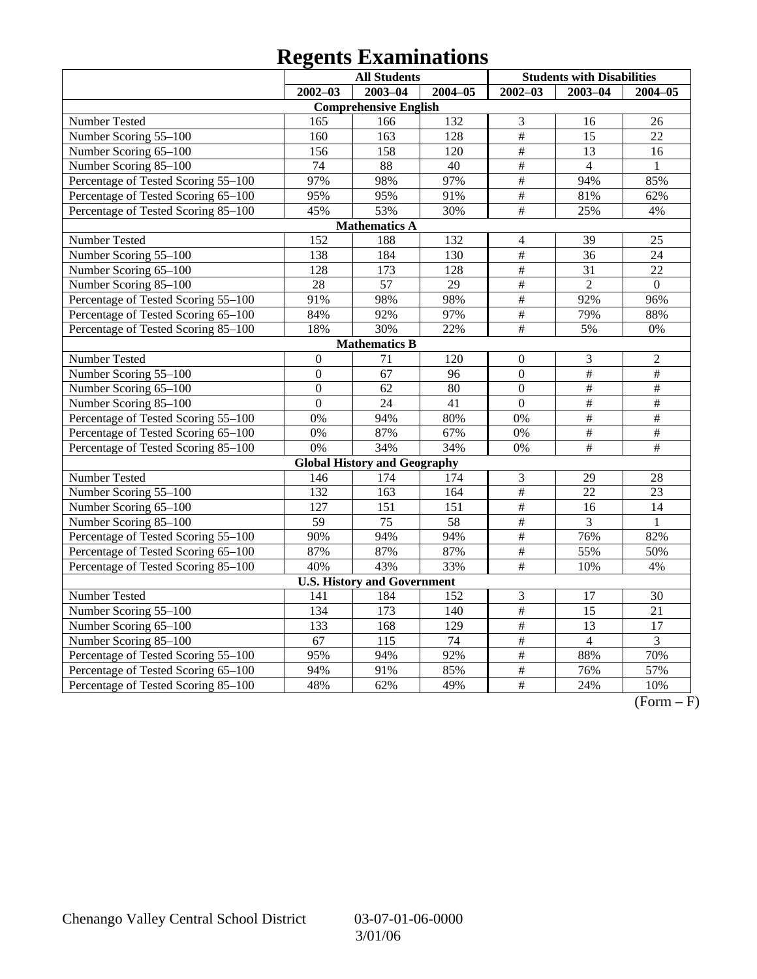# **Regents Examinations**

| <b>All Students</b>                 |                 |                                     |                 |                           | <b>Students with Disabilities</b> |                 |
|-------------------------------------|-----------------|-------------------------------------|-----------------|---------------------------|-----------------------------------|-----------------|
|                                     | $2002 - 03$     | $2003 - 04$                         | $2004 - 05$     | $2002 - 03$               | $2003 - 04$                       | 2004-05         |
|                                     |                 | <b>Comprehensive English</b>        |                 |                           |                                   |                 |
| Number Tested                       | 165             | 166                                 | 132             | 3                         | 16                                | 26              |
| Number Scoring 55-100               | 160             | 163                                 | 128             | $\overline{\overline{H}}$ | 15                                | 22              |
| Number Scoring 65-100               | 156             | 158                                 | 120             | $\overline{\#}$           | 13                                | 16              |
| Number Scoring 85-100               | $\overline{74}$ | 88                                  | $\overline{40}$ | #                         | $\overline{4}$                    | $\mathbf{1}$    |
| Percentage of Tested Scoring 55-100 | 97%             | 98%                                 | 97%             | $\frac{1}{2}$             | 94%                               | 85%             |
| Percentage of Tested Scoring 65-100 | 95%             | 95%                                 | 91%             | $\frac{1}{2}$             | 81%                               | 62%             |
| Percentage of Tested Scoring 85-100 | 45%             | 53%                                 | 30%             | $\frac{1}{2}$             | 25%                               | 4%              |
|                                     |                 | <b>Mathematics A</b>                |                 |                           |                                   |                 |
| Number Tested                       | 152             | 188                                 | 132             | $\overline{\mathbf{4}}$   | 39                                | 25              |
| Number Scoring 55-100               | 138             | 184                                 | 130             | $\#$                      | 36                                | 24              |
| Number Scoring 65-100               | 128             | $\overline{173}$                    | 128             | $\frac{1}{2}$             | $\overline{31}$                   | 22              |
| Number Scoring 85-100               | $\overline{28}$ | 57                                  | $\overline{29}$ | $\overline{\#}$           | $\overline{2}$                    | $\overline{0}$  |
| Percentage of Tested Scoring 55-100 | 91%             | 98%                                 | 98%             | $\frac{1}{2}$             | 92%                               | 96%             |
| Percentage of Tested Scoring 65-100 | 84%             | 92%                                 | 97%             | $\#$                      | 79%                               | 88%             |
| Percentage of Tested Scoring 85-100 | 18%             | 30%                                 | 22%             | #                         | 5%                                | 0%              |
|                                     |                 | <b>Mathematics B</b>                |                 |                           |                                   |                 |
| Number Tested                       | $\theta$        | 71                                  | 120             | $\mathbf{0}$              | $\mathfrak{Z}$                    | $\overline{c}$  |
| Number Scoring 55-100               | $\overline{0}$  | 67                                  | 96              | $\mathbf{0}$              | $\overline{\#}$                   | #               |
| Number Scoring 65-100               | $\Omega$        | 62                                  | 80              | $\mathbf{0}$              | $\overline{\#}$                   | $\#$            |
| Number Scoring 85-100               | $\overline{0}$  | $\overline{24}$                     | 41              | $\overline{0}$            | $\#$                              | $\#$            |
| Percentage of Tested Scoring 55-100 | 0%              | 94%                                 | 80%             | 0%                        | $\#$                              | $\#$            |
| Percentage of Tested Scoring 65-100 | 0%              | 87%                                 | 67%             | 0%                        | $\frac{1}{2}$                     | $\#$            |
| Percentage of Tested Scoring 85-100 | 0%              | 34%                                 | 34%             | 0%                        | $\overline{\#}$                   | #               |
|                                     |                 | <b>Global History and Geography</b> |                 |                           |                                   |                 |
| Number Tested                       | 146             | 174                                 | 174             | 3                         | 29                                | 28              |
| Number Scoring $5\overline{5-100}$  | 132             | 163                                 | 164             | $\#$                      | 22                                | 23              |
| Number Scoring 65-100               | 127             | 151                                 | 151             | #                         | 16                                | 14              |
| Number Scoring 85-100               | 59              | 75                                  | 58              | $\overline{\#}$           | $\overline{3}$                    | $\mathbf{1}$    |
| Percentage of Tested Scoring 55-100 | 90%             | 94%                                 | 94%             | $\overline{\ddot{\pi}}$   | 76%                               | 82%             |
| Percentage of Tested Scoring 65-100 | 87%             | 87%                                 | 87%             | $\#$                      | 55%                               | 50%             |
| Percentage of Tested Scoring 85-100 | 40%             | 43%                                 | 33%             | $\#$                      | 10%                               | 4%              |
|                                     |                 | <b>U.S. History and Government</b>  |                 |                           |                                   |                 |
| Number Tested                       | 141             | 184                                 | 152             | 3                         | 17                                | 30              |
| Number Scoring 55-100               | 134             | $\overline{173}$                    | 140             | $\frac{1}{2}$             | $\overline{15}$                   | $\overline{21}$ |
| Number Scoring 65-100               | 133             | 168                                 | 129             | $\overline{\#}$           | 13                                | 17              |
| Number Scoring 85-100               | 67              | 115                                 | $\overline{74}$ | $\overline{\#}$           | $\overline{4}$                    | $\overline{3}$  |
| Percentage of Tested Scoring 55-100 | 95%             | 94%                                 | 92%             | #                         | 88%                               | 70%             |
| Percentage of Tested Scoring 65-100 | 94%             | 91%                                 | 85%             | $\#$                      | 76%                               | 57%             |
| Percentage of Tested Scoring 85-100 | 48%             | 62%                                 | 49%             | $\frac{1}{2}$             | 24%                               | 10%             |

 $\overline{(Form - F)}$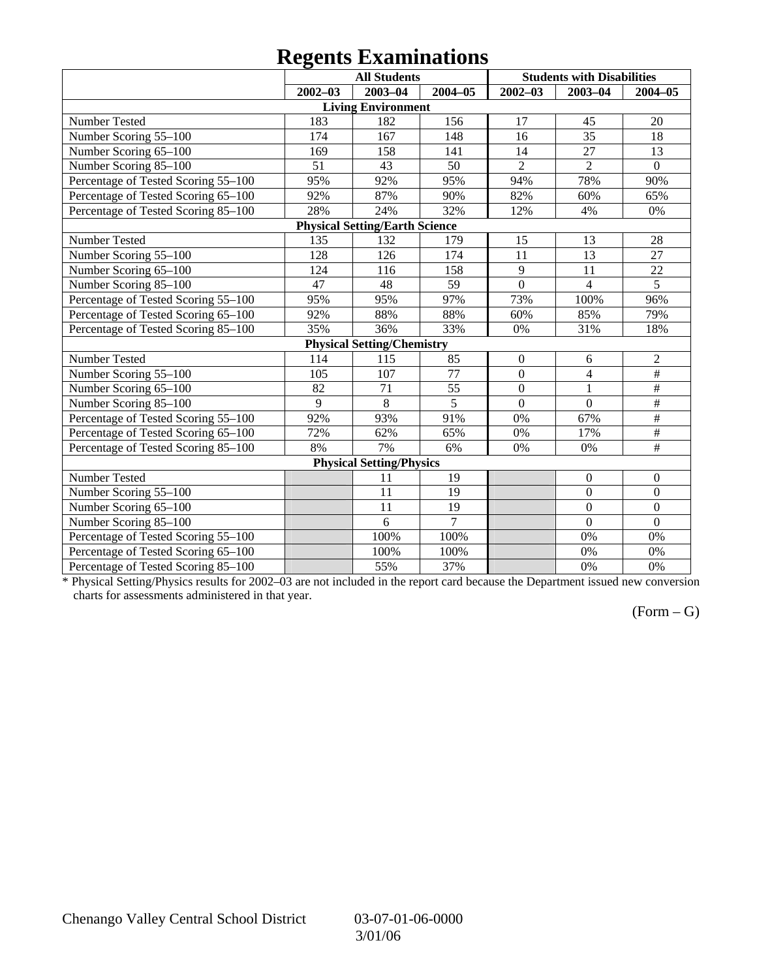### **Regents Examinations**

|                                     | o           | <b>All Students</b>                   |                |                | <b>Students with Disabilities</b> |                           |
|-------------------------------------|-------------|---------------------------------------|----------------|----------------|-----------------------------------|---------------------------|
|                                     | $2002 - 03$ | $2003 - 04$                           | $2004 - 05$    | $2002 - 03$    | $2003 - 04$                       | $2004 - 05$               |
|                                     |             | <b>Living Environment</b>             |                |                |                                   |                           |
| Number Tested                       | 183         | 182                                   | 156            | 17             | 45                                | 20                        |
| Number Scoring 55-100               | 174         | 167                                   | 148            | 16             | 35                                | 18                        |
| Number Scoring 65-100               | 169         | 158                                   | 141            | 14             | 27                                | 13                        |
| Number Scoring 85-100               | 51          | 43                                    | 50             | $\overline{2}$ | $\overline{2}$                    | $\mathbf{0}$              |
| Percentage of Tested Scoring 55-100 | 95%         | 92%                                   | 95%            | 94%            | 78%                               | 90%                       |
| Percentage of Tested Scoring 65-100 | 92%         | 87%                                   | 90%            | 82%            | 60%                               | 65%                       |
| Percentage of Tested Scoring 85-100 | 28%         | 24%                                   | 32%            | 12%            | 4%                                | 0%                        |
|                                     |             | <b>Physical Setting/Earth Science</b> |                |                |                                   |                           |
| Number Tested                       | 135         | 132                                   | 179            | 15             | 13                                | 28                        |
| Number Scoring 55-100               | 128         | 126                                   | 174            | 11             | 13                                | 27                        |
| Number Scoring 65-100               | 124         | 116                                   | 158            | 9              | 11                                | 22                        |
| Number Scoring 85-100               | 47          | 48                                    | 59             | $\overline{0}$ | $\overline{4}$                    | $\overline{5}$            |
| Percentage of Tested Scoring 55-100 | 95%         | 95%                                   | 97%            | 73%            | 100%                              | 96%                       |
| Percentage of Tested Scoring 65-100 | 92%         | 88%                                   | 88%            | 60%            | 85%                               | 79%                       |
| Percentage of Tested Scoring 85-100 | 35%         | 36%                                   | 33%            | 0%             | 31%                               | 18%                       |
|                                     |             | <b>Physical Setting/Chemistry</b>     |                |                |                                   |                           |
| Number Tested                       | 114         | 115                                   | 85             | $\mathbf{0}$   | 6                                 | $\overline{2}$            |
| Number Scoring 55-100               | 105         | 107                                   | 77             | $\overline{0}$ | $\overline{4}$                    | #                         |
| Number Scoring 65-100               | 82          | 71                                    | 55             | $\overline{0}$ | $\mathbf{1}$                      | $\overline{\ddot{\pi}}$   |
| Number Scoring 85-100               | 9           | 8                                     | 5              | $\overline{0}$ | $\overline{0}$                    | $\overline{\#}$           |
| Percentage of Tested Scoring 55-100 | 92%         | 93%                                   | 91%            | 0%             | 67%                               | #                         |
| Percentage of Tested Scoring 65-100 | 72%         | 62%                                   | 65%            | 0%             | 17%                               | $\#$                      |
| Percentage of Tested Scoring 85-100 | 8%          | 7%                                    | 6%             | 0%             | 0%                                | $\overline{\overline{t}}$ |
|                                     |             | <b>Physical Setting/Physics</b>       |                |                |                                   |                           |
| Number Tested                       |             | 11                                    | 19             |                | $\boldsymbol{0}$                  | $\boldsymbol{0}$          |
| Number Scoring 55-100               |             | 11                                    | 19             |                | $\overline{0}$                    | $\boldsymbol{0}$          |
| Number Scoring 65-100               |             | 11                                    | 19             |                | $\overline{0}$                    | $\overline{0}$            |
| Number Scoring 85-100               |             | 6                                     | $\overline{7}$ |                | $\overline{0}$                    | $\mathbf{0}$              |
| Percentage of Tested Scoring 55-100 |             | 100%                                  | 100%           |                | 0%                                | 0%                        |
| Percentage of Tested Scoring 65-100 |             | 100%                                  | 100%           |                | 0%                                | 0%                        |
| Percentage of Tested Scoring 85-100 |             | 55%                                   | 37%            |                | 0%                                | 0%                        |

\* Physical Setting/Physics results for 2002–03 are not included in the report card because the Department issued new conversion charts for assessments administered in that year.

#### $(Form - G)$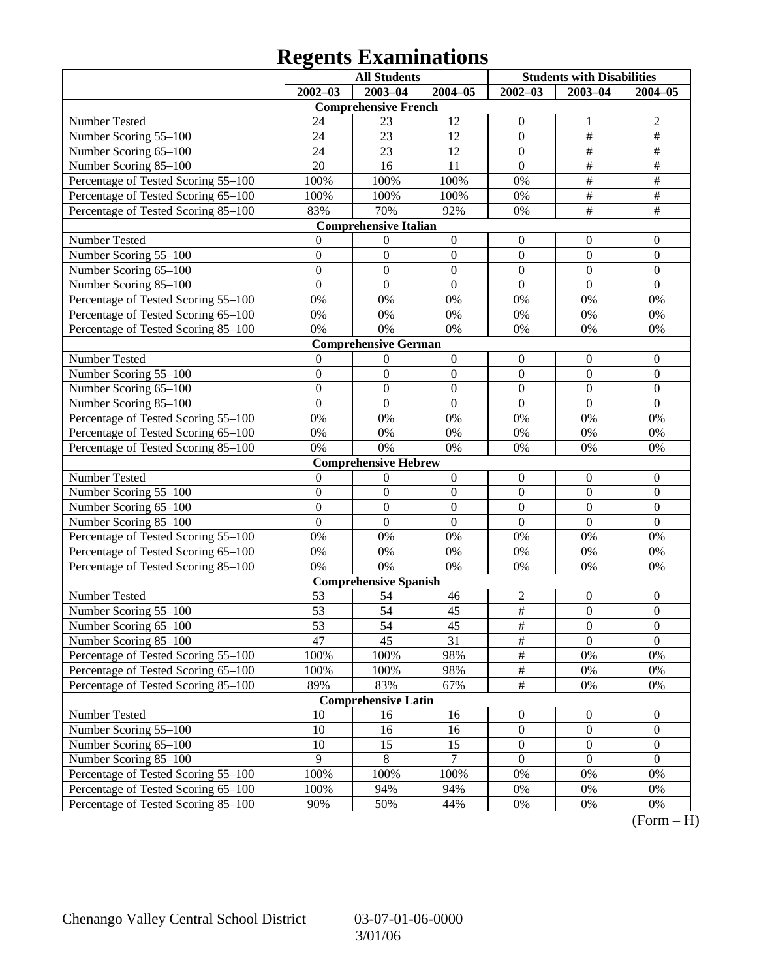# **Regents Examinations**

|                                                              |                  | <b>All Students</b>          |                  | <b>Students with Disabilities</b> |                         |                           |
|--------------------------------------------------------------|------------------|------------------------------|------------------|-----------------------------------|-------------------------|---------------------------|
|                                                              | $2002 - 03$      | $2003 - 04$                  | $2004 - 05$      | $2002 - 03$                       | $2003 - 04$             | $2004 - 05$               |
|                                                              |                  | <b>Comprehensive French</b>  |                  |                                   |                         |                           |
| Number Tested                                                | 24               | 23                           | 12               | $\boldsymbol{0}$                  | 1                       | $\overline{c}$            |
| Number Scoring 55-100                                        | 24               | 23                           | 12               | $\boldsymbol{0}$                  | $\#$                    | $\overline{\#}$           |
| Number Scoring 65-100                                        | 24               | 23                           | 12               | $\mathbf{0}$                      | $\#$                    | $\#$                      |
| Number Scoring 85-100                                        | 20               | 16                           | 11               | $\overline{0}$                    | $\#$                    | $\#$                      |
| Percentage of Tested Scoring 55-100                          | 100%             | 100%                         | 100%             | 0%                                | $\overline{\ddot{\pi}}$ | $\overline{\#}$           |
| Percentage of Tested Scoring 65-100                          | 100%             | 100%                         | 100%             | 0%                                | $\#$                    | $\overline{\#}$           |
| Percentage of Tested Scoring 85-100                          | 83%              | 70%                          | 92%              | 0%                                | $\#$                    | $\overline{\#}$           |
|                                                              |                  | <b>Comprehensive Italian</b> |                  |                                   |                         |                           |
| Number Tested                                                | 0                | $\boldsymbol{0}$             | $\boldsymbol{0}$ | $\boldsymbol{0}$                  | $\boldsymbol{0}$        | $\overline{0}$            |
| Number Scoring 55-100                                        | $\boldsymbol{0}$ | $\mathbf{0}$                 | $\boldsymbol{0}$ | $\mathbf{0}$                      | $\mathbf{0}$            | $\boldsymbol{0}$          |
| Number Scoring 65-100                                        | $\overline{0}$   | $\mathbf{0}$                 | $\mathbf{0}$     | $\mathbf{0}$                      | $\theta$                | $\overline{0}$            |
| Number Scoring 85-100                                        | $\overline{0}$   | $\boldsymbol{0}$             | $\overline{0}$   | $\overline{0}$                    | $\overline{0}$          | $\mathbf{0}$              |
| Percentage of Tested Scoring 55-100                          | 0%               | 0%                           | 0%               | 0%                                | 0%                      | 0%                        |
| Percentage of Tested Scoring 65-100                          | 0%               | 0%                           | $0\%$            | 0%                                | 0%                      | 0%                        |
| Percentage of Tested Scoring 85-100                          | 0%               | 0%                           | 0%               | 0%                                | 0%                      | 0%                        |
|                                                              |                  | <b>Comprehensive German</b>  |                  |                                   |                         |                           |
| Number Tested                                                | $\theta$         | $\boldsymbol{0}$             | $\boldsymbol{0}$ | $\boldsymbol{0}$                  | $\boldsymbol{0}$        | $\mathbf{0}$              |
| Number Scoring 55-100                                        | $\boldsymbol{0}$ | $\mathbf{0}$                 | $\boldsymbol{0}$ | $\mathbf{0}$                      | $\mathbf{0}$            | $\boldsymbol{0}$          |
| Number Scoring 65-100                                        | $\overline{0}$   | $\mathbf{0}$                 | $\mathbf{0}$     | $\mathbf{0}$                      | $\boldsymbol{0}$        | $\overline{0}$            |
| Number Scoring 85-100                                        | $\overline{0}$   | $\mathbf{0}$                 | $\overline{0}$   | $\overline{0}$                    | $\overline{0}$          | $\mathbf{0}$              |
| Percentage of Tested Scoring 55-100                          | 0%               | 0%                           | 0%               | 0%                                | 0%                      | 0%                        |
| Percentage of Tested Scoring 65-100                          | 0%               | 0%                           | 0%               | 0%                                | 0%                      | 0%                        |
| Percentage of Tested Scoring 85-100                          | 0%               | 0%                           | 0%               | 0%                                | 0%                      | 0%                        |
|                                                              |                  | <b>Comprehensive Hebrew</b>  |                  |                                   |                         |                           |
| Number Tested                                                | $\boldsymbol{0}$ | $\boldsymbol{0}$             | $\boldsymbol{0}$ | $\boldsymbol{0}$                  | $\boldsymbol{0}$        | $\mathbf{0}$              |
| Number Scoring 55-100                                        | $\boldsymbol{0}$ | $\boldsymbol{0}$             | $\boldsymbol{0}$ | $\mathbf{0}$                      | $\mathbf{0}$            | $\boldsymbol{0}$          |
| Number Scoring 65-100                                        | $\overline{0}$   | $\mathbf{0}$                 | $\mathbf{0}$     | $\boldsymbol{0}$                  | $\boldsymbol{0}$        | $\mathbf{0}$              |
| Number Scoring 85-100                                        | $\overline{0}$   | $\boldsymbol{0}$             | $\overline{0}$   | $\overline{0}$                    | $\overline{0}$          | $\mathbf{0}$              |
| Percentage of Tested Scoring 55-100                          | 0%               | 0%                           | 0%               | 0%                                | 0%                      | 0%                        |
| Percentage of Tested Scoring 65-100                          | 0%               | 0%                           | $0\%$            | 0%                                | 0%                      | 0%                        |
| Percentage of Tested Scoring 85-100                          | 0%               | 0%                           | 0%               | 0%                                | 0%                      | 0%                        |
|                                                              |                  | <b>Comprehensive Spanish</b> |                  |                                   |                         |                           |
| Number Tested                                                | 53               | 54                           | 46               | $\overline{c}$                    | $\boldsymbol{0}$        | $\boldsymbol{0}$          |
| Number Scoring 55-100                                        | 53               | 54                           | 45               | $\overline{\#}$                   | $\boldsymbol{0}$        | $\mathbf{0}$              |
| Number Scoring 65–100                                        | 53               | 54                           | 45               | $\#$                              | $\boldsymbol{0}$        | $\boldsymbol{0}$          |
| Number Scoring 85-100                                        | 47               | 45                           | 31               | $\overline{\#}$                   | $\theta$                | $\overline{0}$            |
| Percentage of Tested Scoring 55-100                          | 100%             | 100%                         | 98%              | $\frac{1}{2}$                     | 0%                      | 0%                        |
| Percentage of Tested Scoring 65-100                          | 100%             | 100%                         | 98%              | $\frac{1}{2}$                     | 0%                      | $0\%$                     |
| Percentage of Tested Scoring 85-100                          | 89%              | 83%                          | 67%              | $\#$                              | 0%                      | 0%                        |
|                                                              |                  | <b>Comprehensive Latin</b>   |                  |                                   |                         |                           |
| Number Tested                                                | 10               | 16                           | 16               | $\boldsymbol{0}$                  | $\boldsymbol{0}$        | $\overline{0}$            |
| Number Scoring 55-100                                        | 10               | 16                           | 16               | $\boldsymbol{0}$                  | $\boldsymbol{0}$        | $\boldsymbol{0}$          |
| Number Scoring 65-100                                        | 10<br>9          | 15                           | 15               | $\boldsymbol{0}$                  | $\boldsymbol{0}$        | $\boldsymbol{0}$          |
| Number Scoring 85-100<br>Percentage of Tested Scoring 55-100 | 100%             | 8<br>100%                    | 7<br>100%        | $\mathbf{0}$<br>$0\%$             | $\mathbf{0}$            | $\boldsymbol{0}$<br>$0\%$ |
|                                                              |                  |                              |                  |                                   | 0%                      |                           |
| Percentage of Tested Scoring 65-100                          | 100%             | 94%                          | 94%              | 0%                                | 0%                      | 0%                        |
| Percentage of Tested Scoring 85-100                          | 90%              | 50%                          | 44%              | 0%                                | 0%                      | 0%                        |

 $(Form - H)$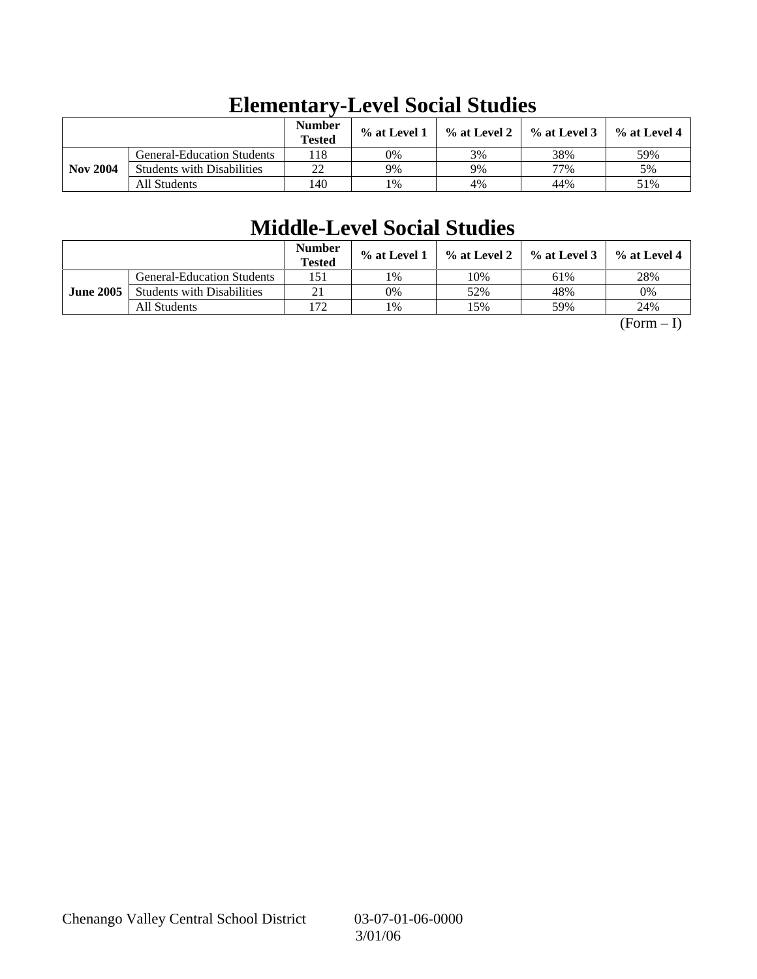|                 |                                   | <b>Number</b><br><b>Tested</b> | % at Level 1 | $\%$ at Level 2 | $\%$ at Level 3 | $%$ at Level 4 |
|-----------------|-----------------------------------|--------------------------------|--------------|-----------------|-----------------|----------------|
|                 | <b>General-Education Students</b> | 118                            | 0%           | 3%              | 38%             | 59%            |
| <b>Nov 2004</b> | <b>Students with Disabilities</b> | 22                             | 9%           | 9%              | 77%             | 5%             |
|                 | All Students                      | 140                            | 1%           | 4%              | 44%             | 51%            |

# **Elementary-Level Social Studies**

# **Middle-Level Social Studies**

|                  |                                   | <b>Number</b><br><b>Tested</b> | $\%$ at Level 1 | $\%$ at Level 2 | $%$ at Level 3 | % at Level 4 |
|------------------|-----------------------------------|--------------------------------|-----------------|-----------------|----------------|--------------|
|                  | <b>General-Education Students</b> | 151                            | 1%              | 10%             | 61%            | 28%          |
| <b>June 2005</b> | <b>Students with Disabilities</b> | 21                             | 0%              | 52%             | 48%            | 0%           |
|                  | All Students                      | 172                            | 1%              | .5%             | 59%            | 24%          |

 $(Form - I)$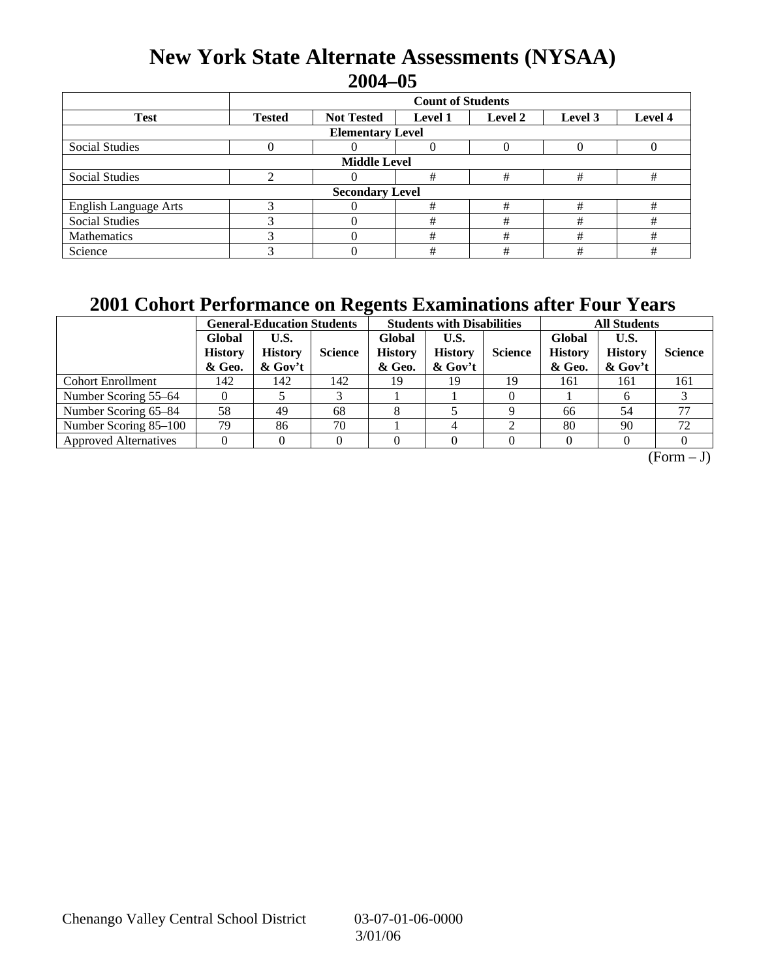### **New York State Alternate Assessments (NYSAA) 2004–05**

|                              | <b>Count of Students</b> |                         |                |         |         |         |  |
|------------------------------|--------------------------|-------------------------|----------------|---------|---------|---------|--|
| <b>Test</b>                  | <b>Tested</b>            | <b>Not Tested</b>       | <b>Level 1</b> | Level 2 | Level 3 | Level 4 |  |
|                              |                          | <b>Elementary Level</b> |                |         |         |         |  |
| Social Studies               |                          |                         |                |         |         |         |  |
|                              |                          | <b>Middle Level</b>     |                |         |         |         |  |
| Social Studies               |                          |                         | #              | #       | #       | #       |  |
|                              |                          | <b>Secondary Level</b>  |                |         |         |         |  |
| <b>English Language Arts</b> |                          |                         | #              | #       | #       | #       |  |
| <b>Social Studies</b>        |                          |                         | #              | #       | #       | #       |  |
| Mathematics                  |                          |                         | #              | #       | #       | #       |  |
| Science                      |                          |                         | #              | #       | #       | #       |  |

### **2001 Cohort Performance on Regents Examinations after Four Years**

|                              | <b>General-Education Students</b>  |                                      |                | <b>Students with Disabilities</b>  |                                      |                | <b>All Students</b>                |                                   |                |
|------------------------------|------------------------------------|--------------------------------------|----------------|------------------------------------|--------------------------------------|----------------|------------------------------------|-----------------------------------|----------------|
|                              | Global<br><b>History</b><br>& Geo. | U.S.<br><b>History</b><br>$\&$ Gov't | <b>Science</b> | Global<br><b>History</b><br>& Geo. | U.S.<br><b>History</b><br>$\&$ Gov't | <b>Science</b> | Global<br><b>History</b><br>& Geo. | U.S.<br><b>History</b><br>& Gov't | <b>Science</b> |
| <b>Cohort Enrollment</b>     | 142                                | 142                                  | 142            | 19                                 | 19                                   | 19             | 161                                | 161                               | 161            |
| Number Scoring 55–64         |                                    |                                      |                |                                    |                                      |                |                                    |                                   |                |
| Number Scoring 65–84         | 58                                 | 49                                   | 68             |                                    |                                      |                | 66                                 | 54                                | 77             |
| Number Scoring 85–100        | 79                                 | 86                                   | 70             |                                    |                                      |                | 80                                 | 90                                | 72             |
| <b>Approved Alternatives</b> |                                    |                                      |                |                                    |                                      |                |                                    |                                   |                |

 $(Form - J)$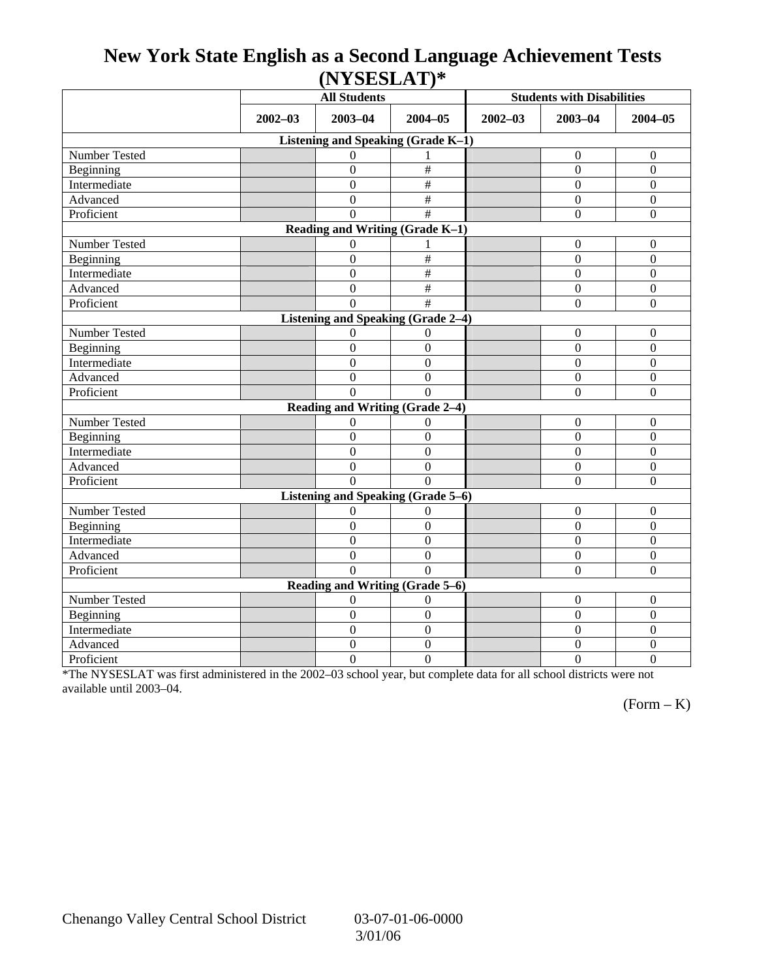### **New York State English as a Second Language Achievement Tests (NYSESLAT)\***

|                                           |             | <b>All Students</b>             |                           | <b>Students with Disabilities</b> |                  |                  |  |  |  |
|-------------------------------------------|-------------|---------------------------------|---------------------------|-----------------------------------|------------------|------------------|--|--|--|
|                                           | $2002 - 03$ | $2003 - 04$                     | $2004 - 05$               | $2002 - 03$                       | $2003 - 04$      | $2004 - 05$      |  |  |  |
| Listening and Speaking (Grade K-1)        |             |                                 |                           |                                   |                  |                  |  |  |  |
| Number Tested                             |             | $\Omega$                        |                           |                                   | $\mathbf{0}$     | $\Omega$         |  |  |  |
| Beginning                                 |             | $\overline{0}$                  | $\#$                      |                                   | $\Omega$         | $\mathbf{0}$     |  |  |  |
| Intermediate                              |             | $\boldsymbol{0}$                | $\#$                      |                                   | $\Omega$         | $\mathbf{0}$     |  |  |  |
| Advanced                                  |             | $\boldsymbol{0}$                | $\#$                      |                                   | $\boldsymbol{0}$ | $\boldsymbol{0}$ |  |  |  |
| Proficient                                |             | $\Omega$                        | $\#$                      |                                   | $\boldsymbol{0}$ | $\boldsymbol{0}$ |  |  |  |
| Reading and Writing (Grade K-1)           |             |                                 |                           |                                   |                  |                  |  |  |  |
| Number Tested                             |             | 0                               |                           |                                   | $\boldsymbol{0}$ | $\mathbf{0}$     |  |  |  |
| Beginning                                 |             | $\boldsymbol{0}$                | $\#$                      |                                   | $\overline{0}$   | $\overline{0}$   |  |  |  |
| Intermediate                              |             | $\boldsymbol{0}$                | $\#$                      |                                   | $\mathbf{0}$     | $\overline{0}$   |  |  |  |
| Advanced                                  |             | $\boldsymbol{0}$                | $\overline{\overline{H}}$ |                                   | $\boldsymbol{0}$ | $\boldsymbol{0}$ |  |  |  |
| Proficient                                |             | $\Omega$                        | $\overline{\ddot{x}}$     |                                   | $\Omega$         | $\overline{0}$   |  |  |  |
| <b>Listening and Speaking (Grade 2-4)</b> |             |                                 |                           |                                   |                  |                  |  |  |  |
| Number Tested                             |             | $\overline{0}$                  | $\Omega$                  |                                   | $\boldsymbol{0}$ | $\overline{0}$   |  |  |  |
| Beginning                                 |             | $\boldsymbol{0}$                | $\boldsymbol{0}$          |                                   | $\boldsymbol{0}$ | $\mathbf{0}$     |  |  |  |
| Intermediate                              |             | $\theta$                        | $\overline{0}$            |                                   | $\Omega$         | $\boldsymbol{0}$ |  |  |  |
| Advanced                                  |             | $\overline{0}$                  | $\Omega$                  |                                   | $\overline{0}$   | $\overline{0}$   |  |  |  |
| Proficient                                |             | $\Omega$                        | $\Omega$                  |                                   | $\Omega$         | $\overline{0}$   |  |  |  |
|                                           |             | Reading and Writing (Grade 2-4) |                           |                                   |                  |                  |  |  |  |
| Number Tested                             |             | 0                               | 0                         |                                   | $\mathbf{0}$     | $\mathbf{0}$     |  |  |  |
| Beginning                                 |             | $\overline{0}$                  | $\mathbf{0}$              |                                   | $\Omega$         | $\overline{0}$   |  |  |  |
| Intermediate                              |             | $\overline{0}$                  | $\theta$                  |                                   | $\Omega$         | $\mathbf{0}$     |  |  |  |
| Advanced                                  |             | $\boldsymbol{0}$                | $\boldsymbol{0}$          |                                   | $\boldsymbol{0}$ | $\mathbf{0}$     |  |  |  |
| Proficient                                |             | $\Omega$                        | $\Omega$                  |                                   | $\Omega$         | $\overline{0}$   |  |  |  |
| Listening and Speaking (Grade 5-6)        |             |                                 |                           |                                   |                  |                  |  |  |  |
| Number Tested                             |             | $\theta$                        | $\Omega$                  |                                   | $\mathbf{0}$     | $\mathbf{0}$     |  |  |  |
| Beginning                                 |             | $\boldsymbol{0}$                | $\Omega$                  |                                   | $\Omega$         | $\mathbf{0}$     |  |  |  |
| Intermediate                              |             | $\boldsymbol{0}$                | $\mathbf{0}$              |                                   | $\Omega$         | $\boldsymbol{0}$ |  |  |  |
| Advanced                                  |             | $\boldsymbol{0}$                | $\mathbf{0}$              |                                   | $\boldsymbol{0}$ | $\boldsymbol{0}$ |  |  |  |
| Proficient                                |             | $\overline{0}$                  | $\Omega$                  |                                   | $\mathbf{0}$     | $\overline{0}$   |  |  |  |
| Reading and Writing (Grade 5-6)           |             |                                 |                           |                                   |                  |                  |  |  |  |
| Number Tested                             |             | 0                               | $\mathbf{0}$              |                                   | $\boldsymbol{0}$ | $\mathbf{0}$     |  |  |  |
| Beginning                                 |             | $\boldsymbol{0}$                | $\mathbf{0}$              |                                   | $\Omega$         | $\mathbf{0}$     |  |  |  |
| Intermediate                              |             | $\boldsymbol{0}$                | $\boldsymbol{0}$          |                                   | $\boldsymbol{0}$ | $\boldsymbol{0}$ |  |  |  |
| Advanced                                  |             | $\boldsymbol{0}$                | $\mathbf{0}$              |                                   | $\boldsymbol{0}$ | $\overline{0}$   |  |  |  |
| Proficient                                |             | $\overline{0}$                  | $\overline{0}$            |                                   | $\mathbf{0}$     | $\overline{0}$   |  |  |  |

\*The NYSESLAT was first administered in the 2002–03 school year, but complete data for all school districts were not available until 2003–04.

 $(Form - K)$